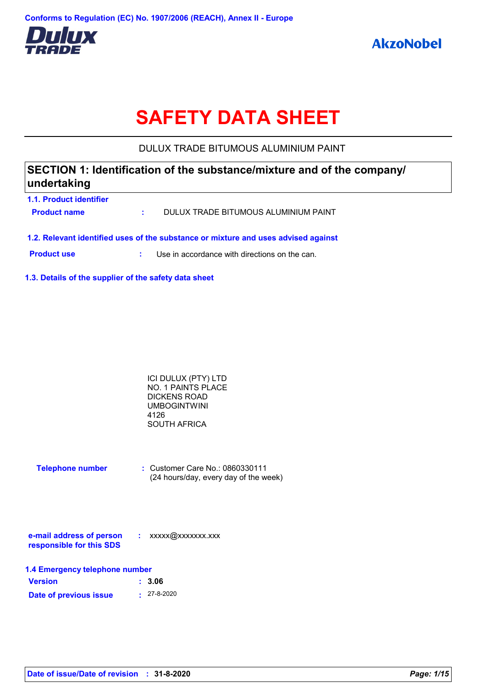

# **SAFETY DATA SHEET**

DULUX TRADE BITUMOUS ALUMINIUM PAINT

# **SECTION 1: Identification of the substance/mixture and of the company/ undertaking**

- **1.1. Product identifier Product name :** DULUX TRADE BITUMOUS ALUMINIUM PAINT
- **1.2. Relevant identified uses of the substance or mixture and uses advised against**

**Product use :** Use in accordance with directions on the can.

**1.3. Details of the supplier of the safety data sheet**

| ICI DULUX (PTY) LTD |  |
|---------------------|--|
| NO. 1 PAINTS PLACE  |  |
| DICKENS ROAD        |  |
| <b>UMBOGINTWINI</b> |  |
| 4126                |  |
| SOUTH AFRICA        |  |

**Telephone number :** Customer Care No.: 0860330111 (24 hours/day, every day of the week)

| e-mail address of person | xxxxx@xxxxxxx.xxx |
|--------------------------|-------------------|
| responsible for this SDS |                   |

| 1.4 Emergency telephone number |                   |  |  |
|--------------------------------|-------------------|--|--|
| <b>Version</b>                 | : 3.06            |  |  |
| Date of previous issue         | $\cdot$ 27-8-2020 |  |  |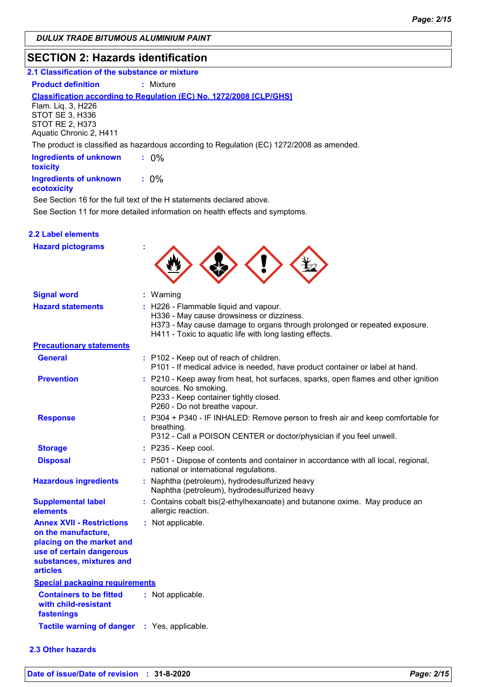### **SECTION 2: Hazards identification**

# **2.1 Classification of the substance or mixture**

**Product definition : Mixture** 

#### **Classification according to Regulation (EC) No. 1272/2008 [CLP/GHS]**

Flam. Liq. 3, H226 STOT SE 3, H336 STOT RE 2, H373 Aquatic Chronic 2, H411

The product is classified as hazardous according to Regulation (EC) 1272/2008 as amended.

| <b>Ingredients of unknown</b><br>toxicity |         |
|-------------------------------------------|---------|
| <b>Ingredients of unknown</b>             | $: 0\%$ |

#### **ecotoxicity**

See Section 11 for more detailed information on health effects and symptoms. See Section 16 for the full text of the H statements declared above.

|  | <b>2.2 Label elements</b> |  |
|--|---------------------------|--|
|  |                           |  |

| <b>Hazard pictograms</b>                                                                                                                                        |                                                                                                                                                                                                                            |
|-----------------------------------------------------------------------------------------------------------------------------------------------------------------|----------------------------------------------------------------------------------------------------------------------------------------------------------------------------------------------------------------------------|
| <b>Signal word</b>                                                                                                                                              | : Warning                                                                                                                                                                                                                  |
| <b>Hazard statements</b>                                                                                                                                        | : H226 - Flammable liquid and vapour.<br>H336 - May cause drowsiness or dizziness.<br>H373 - May cause damage to organs through prolonged or repeated exposure.<br>H411 - Toxic to aquatic life with long lasting effects. |
| <b>Precautionary statements</b>                                                                                                                                 |                                                                                                                                                                                                                            |
| <b>General</b>                                                                                                                                                  | : P102 - Keep out of reach of children.<br>P101 - If medical advice is needed, have product container or label at hand.                                                                                                    |
| <b>Prevention</b>                                                                                                                                               | : P210 - Keep away from heat, hot surfaces, sparks, open flames and other ignition<br>sources. No smoking.<br>P233 - Keep container tightly closed.<br>P260 - Do not breathe vapour.                                       |
| <b>Response</b>                                                                                                                                                 | : P304 + P340 - IF INHALED: Remove person to fresh air and keep comfortable for<br>breathing.<br>P312 - Call a POISON CENTER or doctor/physician if you feel unwell.                                                       |
| <b>Storage</b>                                                                                                                                                  | : P235 - Keep cool.                                                                                                                                                                                                        |
| <b>Disposal</b>                                                                                                                                                 | : P501 - Dispose of contents and container in accordance with all local, regional,<br>national or international regulations.                                                                                               |
| <b>Hazardous ingredients</b>                                                                                                                                    | : Naphtha (petroleum), hydrodesulfurized heavy<br>Naphtha (petroleum), hydrodesulfurized heavy                                                                                                                             |
| <b>Supplemental label</b><br>elements                                                                                                                           | : Contains cobalt bis(2-ethylhexanoate) and butanone oxime. May produce an<br>allergic reaction.                                                                                                                           |
| <b>Annex XVII - Restrictions</b><br>on the manufacture,<br>placing on the market and<br>use of certain dangerous<br>substances, mixtures and<br><b>articles</b> | : Not applicable.                                                                                                                                                                                                          |
| <b>Special packaging requirements</b>                                                                                                                           |                                                                                                                                                                                                                            |
| <b>Containers to be fitted</b><br>with child-resistant<br>fastenings                                                                                            | : Not applicable.                                                                                                                                                                                                          |
| <b>Tactile warning of danger</b>                                                                                                                                | : Yes, applicable.                                                                                                                                                                                                         |

#### **2.3 Other hazards**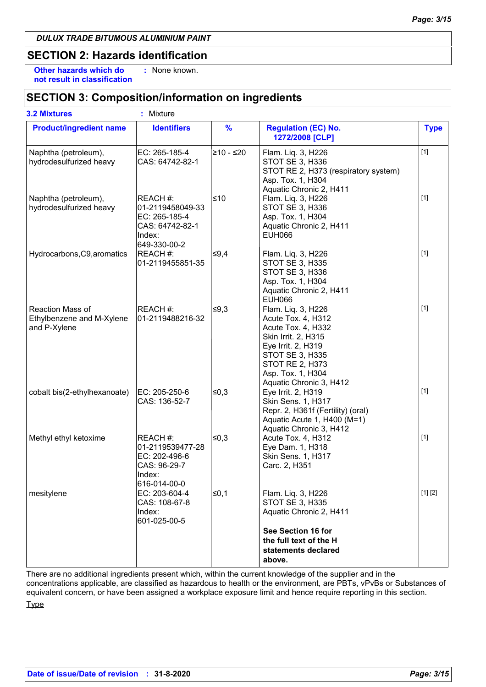### **SECTION 2: Hazards identification**

**Other hazards which do : not result in classification** : None known.

### **SECTION 3: Composition/information on ingredients**

| <b>3.2 Mixtures</b>                                           | ŧ.<br>Mixture                                                                              |               |                                                                                                                                                                                                                 |             |
|---------------------------------------------------------------|--------------------------------------------------------------------------------------------|---------------|-----------------------------------------------------------------------------------------------------------------------------------------------------------------------------------------------------------------|-------------|
| <b>Product/ingredient name</b>                                | <b>Identifiers</b>                                                                         | $\frac{9}{6}$ | <b>Regulation (EC) No.</b><br>1272/2008 [CLP]                                                                                                                                                                   | <b>Type</b> |
| Naphtha (petroleum),<br>hydrodesulfurized heavy               | EC: 265-185-4<br>CAS: 64742-82-1                                                           | ≥10 - ≤20     | Flam. Liq. 3, H226<br>STOT SE 3, H336<br>STOT RE 2, H373 (respiratory system)<br>Asp. Tox. 1, H304<br>Aquatic Chronic 2, H411                                                                                   | $[1]$       |
| Naphtha (petroleum),<br>hydrodesulfurized heavy               | REACH #:<br>01-2119458049-33<br>EC: 265-185-4<br>CAS: 64742-82-1<br>Index:<br>649-330-00-2 | ≤10           | Flam. Liq. 3, H226<br>STOT SE 3, H336<br>Asp. Tox. 1, H304<br>Aquatic Chronic 2, H411<br><b>EUH066</b>                                                                                                          | $[1]$       |
| Hydrocarbons, C9, aromatics                                   | REACH #:<br>01-2119455851-35                                                               | ¦≤9,4         | Flam. Liq. 3, H226<br>STOT SE 3, H335<br>STOT SE 3, H336<br>Asp. Tox. 1, H304<br>Aquatic Chronic 2, H411<br><b>EUH066</b>                                                                                       | $[1]$       |
| Reaction Mass of<br>Ethylbenzene and M-Xylene<br>and P-Xylene | REACH #:<br>01-2119488216-32                                                               | ≰9,3          | Flam. Liq. 3, H226<br>Acute Tox. 4, H312<br>Acute Tox. 4, H332<br>Skin Irrit. 2, H315<br>Eye Irrit. 2, H319<br><b>STOT SE 3, H335</b><br><b>STOT RE 2, H373</b><br>Asp. Tox. 1, H304<br>Aquatic Chronic 3, H412 | $[1]$       |
| cobalt bis(2-ethylhexanoate)                                  | EC: 205-250-6<br>CAS: 136-52-7                                                             | ≰0,3          | Eye Irrit. 2, H319<br>Skin Sens. 1, H317<br>Repr. 2, H361f (Fertility) (oral)<br>Aquatic Acute 1, H400 (M=1)<br>Aquatic Chronic 3, H412                                                                         | $[1]$       |
| Methyl ethyl ketoxime                                         | REACH #:<br>01-2119539477-28<br>EC: 202-496-6<br>CAS: 96-29-7<br>Index:<br>616-014-00-0    | ∣≤0,3         | Acute Tox. 4, H312<br>Eye Dam. 1, H318<br>Skin Sens. 1, H317<br>Carc. 2, H351                                                                                                                                   | $[1]$       |
| mesitylene                                                    | EC: 203-604-4<br>CAS: 108-67-8<br>Index:<br>601-025-00-5                                   | ∣≤0,1         | Flam. Liq. 3, H226<br><b>STOT SE 3, H335</b><br>Aquatic Chronic 2, H411<br>See Section 16 for<br>the full text of the H<br>statements declared<br>above.                                                        | [1] [2]     |

There are no additional ingredients present which, within the current knowledge of the supplier and in the concentrations applicable, are classified as hazardous to health or the environment, are PBTs, vPvBs or Substances of equivalent concern, or have been assigned a workplace exposure limit and hence require reporting in this section. **Type**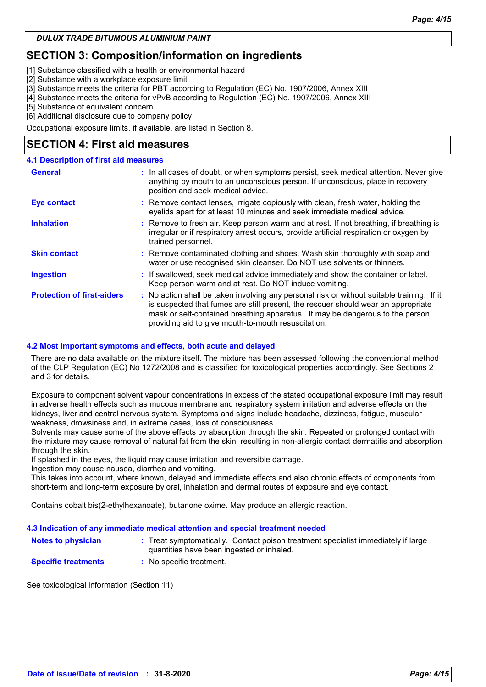### **SECTION 3: Composition/information on ingredients**

[1] Substance classified with a health or environmental hazard

[2] Substance with a workplace exposure limit

[3] Substance meets the criteria for PBT according to Regulation (EC) No. 1907/2006, Annex XIII

[4] Substance meets the criteria for vPvB according to Regulation (EC) No. 1907/2006, Annex XIII

[5] Substance of equivalent concern

[6] Additional disclosure due to company policy

Occupational exposure limits, if available, are listed in Section 8.

### **SECTION 4: First aid measures**

#### **4.1 Description of first aid measures**

| <b>General</b>                    | : In all cases of doubt, or when symptoms persist, seek medical attention. Never give<br>anything by mouth to an unconscious person. If unconscious, place in recovery<br>position and seek medical advice.                                                                                                             |
|-----------------------------------|-------------------------------------------------------------------------------------------------------------------------------------------------------------------------------------------------------------------------------------------------------------------------------------------------------------------------|
| Eye contact                       | : Remove contact lenses, irrigate copiously with clean, fresh water, holding the<br>eyelids apart for at least 10 minutes and seek immediate medical advice.                                                                                                                                                            |
| <b>Inhalation</b>                 | : Remove to fresh air. Keep person warm and at rest. If not breathing, if breathing is<br>irregular or if respiratory arrest occurs, provide artificial respiration or oxygen by<br>trained personnel.                                                                                                                  |
| <b>Skin contact</b>               | : Remove contaminated clothing and shoes. Wash skin thoroughly with soap and<br>water or use recognised skin cleanser. Do NOT use solvents or thinners.                                                                                                                                                                 |
| <b>Ingestion</b>                  | : If swallowed, seek medical advice immediately and show the container or label.<br>Keep person warm and at rest. Do NOT induce vomiting.                                                                                                                                                                               |
| <b>Protection of first-aiders</b> | : No action shall be taken involving any personal risk or without suitable training. If it<br>is suspected that fumes are still present, the rescuer should wear an appropriate<br>mask or self-contained breathing apparatus. It may be dangerous to the person<br>providing aid to give mouth-to-mouth resuscitation. |

#### **4.2 Most important symptoms and effects, both acute and delayed**

There are no data available on the mixture itself. The mixture has been assessed following the conventional method of the CLP Regulation (EC) No 1272/2008 and is classified for toxicological properties accordingly. See Sections 2 and 3 for details.

Exposure to component solvent vapour concentrations in excess of the stated occupational exposure limit may result in adverse health effects such as mucous membrane and respiratory system irritation and adverse effects on the kidneys, liver and central nervous system. Symptoms and signs include headache, dizziness, fatigue, muscular weakness, drowsiness and, in extreme cases, loss of consciousness.

Solvents may cause some of the above effects by absorption through the skin. Repeated or prolonged contact with the mixture may cause removal of natural fat from the skin, resulting in non-allergic contact dermatitis and absorption through the skin.

If splashed in the eyes, the liquid may cause irritation and reversible damage.

Ingestion may cause nausea, diarrhea and vomiting.

This takes into account, where known, delayed and immediate effects and also chronic effects of components from short-term and long-term exposure by oral, inhalation and dermal routes of exposure and eye contact.

Contains cobalt bis(2-ethylhexanoate), butanone oxime. May produce an allergic reaction.

#### **4.3 Indication of any immediate medical attention and special treatment needed**

| <b>Notes to physician</b>  | : Treat symptomatically. Contact poison treatment specialist immediately if large<br>quantities have been ingested or inhaled. |
|----------------------------|--------------------------------------------------------------------------------------------------------------------------------|
| <b>Specific treatments</b> | No specific treatment.                                                                                                         |

See toxicological information (Section 11)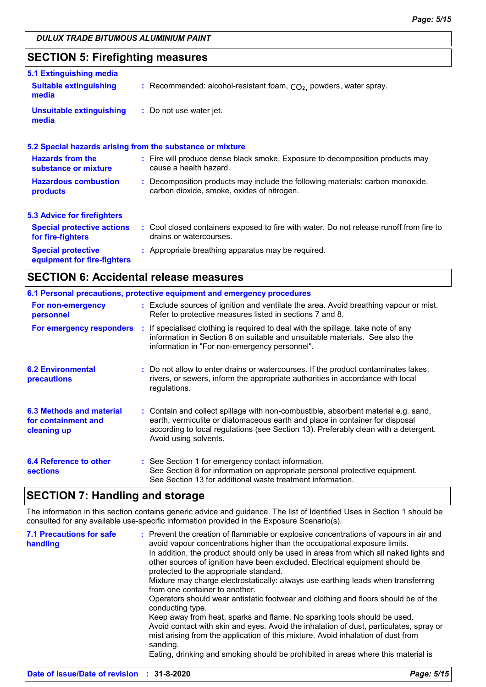### **SECTION 5: Firefighting measures**

| <b>Suitable extinguishing</b><br>: Recommended: alcohol-resistant foam, $CO2$ , powders, water spray.<br><b>Unsuitable extinguishing</b><br>: Do not use water jet.<br>media<br>5.2 Special hazards arising from the substance or mixture<br><b>Hazards from the</b><br>: Fire will produce dense black smoke. Exposure to decomposition products may<br>cause a health hazard.<br><b>Hazardous combustion</b><br>: Decomposition products may include the following materials: carbon monoxide,<br>carbon dioxide, smoke, oxides of nitrogen.<br>products<br><b>Special protective actions</b><br>drains or watercourses.<br>: Appropriate breathing apparatus may be required.<br><b>Special protective</b><br>equipment for fire-fighters |                                    |                                                                                         |
|----------------------------------------------------------------------------------------------------------------------------------------------------------------------------------------------------------------------------------------------------------------------------------------------------------------------------------------------------------------------------------------------------------------------------------------------------------------------------------------------------------------------------------------------------------------------------------------------------------------------------------------------------------------------------------------------------------------------------------------------|------------------------------------|-----------------------------------------------------------------------------------------|
|                                                                                                                                                                                                                                                                                                                                                                                                                                                                                                                                                                                                                                                                                                                                              | 5.1 Extinguishing media            |                                                                                         |
|                                                                                                                                                                                                                                                                                                                                                                                                                                                                                                                                                                                                                                                                                                                                              | media                              |                                                                                         |
|                                                                                                                                                                                                                                                                                                                                                                                                                                                                                                                                                                                                                                                                                                                                              |                                    |                                                                                         |
|                                                                                                                                                                                                                                                                                                                                                                                                                                                                                                                                                                                                                                                                                                                                              |                                    |                                                                                         |
|                                                                                                                                                                                                                                                                                                                                                                                                                                                                                                                                                                                                                                                                                                                                              | substance or mixture               |                                                                                         |
|                                                                                                                                                                                                                                                                                                                                                                                                                                                                                                                                                                                                                                                                                                                                              |                                    |                                                                                         |
|                                                                                                                                                                                                                                                                                                                                                                                                                                                                                                                                                                                                                                                                                                                                              | <b>5.3 Advice for firefighters</b> |                                                                                         |
|                                                                                                                                                                                                                                                                                                                                                                                                                                                                                                                                                                                                                                                                                                                                              | for fire-fighters                  | : Cool closed containers exposed to fire with water. Do not release runoff from fire to |
|                                                                                                                                                                                                                                                                                                                                                                                                                                                                                                                                                                                                                                                                                                                                              |                                    |                                                                                         |

### **SECTION 6: Accidental release measures**

|                                                                | 6.1 Personal precautions, protective equipment and emergency procedures                                                                                                                                                                                                            |
|----------------------------------------------------------------|------------------------------------------------------------------------------------------------------------------------------------------------------------------------------------------------------------------------------------------------------------------------------------|
| For non-emergency<br>personnel                                 | : Exclude sources of ignition and ventilate the area. Avoid breathing vapour or mist.<br>Refer to protective measures listed in sections 7 and 8.                                                                                                                                  |
| For emergency responders                                       | : If specialised clothing is required to deal with the spillage, take note of any<br>information in Section 8 on suitable and unsuitable materials. See also the<br>information in "For non-emergency personnel".                                                                  |
| <b>6.2 Environmental</b><br>precautions                        | : Do not allow to enter drains or watercourses. If the product contaminates lakes,<br>rivers, or sewers, inform the appropriate authorities in accordance with local<br>regulations.                                                                                               |
| 6.3 Methods and material<br>for containment and<br>cleaning up | : Contain and collect spillage with non-combustible, absorbent material e.g. sand,<br>earth, vermiculite or diatomaceous earth and place in container for disposal<br>according to local regulations (see Section 13). Preferably clean with a detergent.<br>Avoid using solvents. |
| 6.4 Reference to other<br><b>sections</b>                      | : See Section 1 for emergency contact information.<br>See Section 8 for information on appropriate personal protective equipment.<br>See Section 13 for additional waste treatment information.                                                                                    |

### **SECTION 7: Handling and storage**

The information in this section contains generic advice and guidance. The list of Identified Uses in Section 1 should be consulted for any available use-specific information provided in the Exposure Scenario(s).

| <b>7.1 Precautions for safe</b><br>handling | : Prevent the creation of flammable or explosive concentrations of vapours in air and<br>avoid vapour concentrations higher than the occupational exposure limits.<br>In addition, the product should only be used in areas from which all naked lights and<br>other sources of ignition have been excluded. Electrical equipment should be<br>protected to the appropriate standard.<br>Mixture may charge electrostatically: always use earthing leads when transferring<br>from one container to another.<br>Operators should wear antistatic footwear and clothing and floors should be of the<br>conducting type.<br>Keep away from heat, sparks and flame. No sparking tools should be used.<br>Avoid contact with skin and eyes. Avoid the inhalation of dust, particulates, spray or<br>mist arising from the application of this mixture. Avoid inhalation of dust from<br>sanding.<br>Eating, drinking and smoking should be prohibited in areas where this material is |
|---------------------------------------------|-----------------------------------------------------------------------------------------------------------------------------------------------------------------------------------------------------------------------------------------------------------------------------------------------------------------------------------------------------------------------------------------------------------------------------------------------------------------------------------------------------------------------------------------------------------------------------------------------------------------------------------------------------------------------------------------------------------------------------------------------------------------------------------------------------------------------------------------------------------------------------------------------------------------------------------------------------------------------------------|
|                                             |                                                                                                                                                                                                                                                                                                                                                                                                                                                                                                                                                                                                                                                                                                                                                                                                                                                                                                                                                                                   |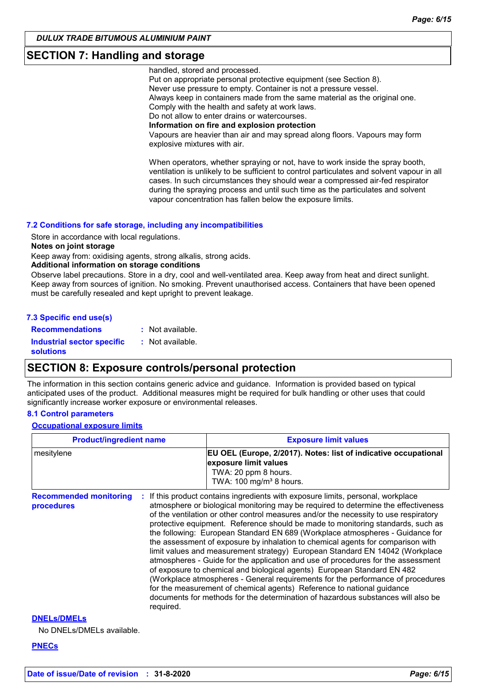### **SECTION 7: Handling and storage**

handled, stored and processed.

Put on appropriate personal protective equipment (see Section 8). Never use pressure to empty. Container is not a pressure vessel. Always keep in containers made from the same material as the original one. Comply with the health and safety at work laws. Do not allow to enter drains or watercourses. **Information on fire and explosion protection** Vapours are heavier than air and may spread along floors. Vapours may form explosive mixtures with air.

When operators, whether spraying or not, have to work inside the spray booth, ventilation is unlikely to be sufficient to control particulates and solvent vapour in all cases. In such circumstances they should wear a compressed air-fed respirator during the spraying process and until such time as the particulates and solvent vapour concentration has fallen below the exposure limits.

#### **7.2 Conditions for safe storage, including any incompatibilities**

Store in accordance with local regulations.

#### **Notes on joint storage**

Keep away from: oxidising agents, strong alkalis, strong acids.

**Additional information on storage conditions**

Observe label precautions. Store in a dry, cool and well-ventilated area. Keep away from heat and direct sunlight. Keep away from sources of ignition. No smoking. Prevent unauthorised access. Containers that have been opened must be carefully resealed and kept upright to prevent leakage.

| 7.3 Specific end use(s)                               |                  |
|-------------------------------------------------------|------------------|
| <b>Recommendations</b>                                | : Not available. |
| <b>Industrial sector specific</b><br><b>solutions</b> | : Not available. |

### **SECTION 8: Exposure controls/personal protection**

The information in this section contains generic advice and guidance. Information is provided based on typical anticipated uses of the product. Additional measures might be required for bulk handling or other uses that could significantly increase worker exposure or environmental releases.

#### **8.1 Control parameters**

**Occupational exposure limits**

| <b>Product/ingredient name</b>              |           | <b>Exposure limit values</b>                                                                                                                                                                                                                                                                                                                                                                                                                                                                                                                                                                                                                                                                                                                                                                                                                                                                                                                                                                                        |  |  |
|---------------------------------------------|-----------|---------------------------------------------------------------------------------------------------------------------------------------------------------------------------------------------------------------------------------------------------------------------------------------------------------------------------------------------------------------------------------------------------------------------------------------------------------------------------------------------------------------------------------------------------------------------------------------------------------------------------------------------------------------------------------------------------------------------------------------------------------------------------------------------------------------------------------------------------------------------------------------------------------------------------------------------------------------------------------------------------------------------|--|--|
| mesitylene                                  |           | EU OEL (Europe, 2/2017). Notes: list of indicative occupational<br>exposure limit values<br>TWA: 20 ppm 8 hours.<br>TWA: 100 mg/m <sup>3</sup> 8 hours.                                                                                                                                                                                                                                                                                                                                                                                                                                                                                                                                                                                                                                                                                                                                                                                                                                                             |  |  |
| <b>Recommended monitoring</b><br>procedures | required. | If this product contains ingredients with exposure limits, personal, workplace<br>atmosphere or biological monitoring may be required to determine the effectiveness<br>of the ventilation or other control measures and/or the necessity to use respiratory<br>protective equipment. Reference should be made to monitoring standards, such as<br>the following: European Standard EN 689 (Workplace atmospheres - Guidance for<br>the assessment of exposure by inhalation to chemical agents for comparison with<br>limit values and measurement strategy) European Standard EN 14042 (Workplace<br>atmospheres - Guide for the application and use of procedures for the assessment<br>of exposure to chemical and biological agents) European Standard EN 482<br>(Workplace atmospheres - General requirements for the performance of procedures<br>for the measurement of chemical agents) Reference to national guidance<br>documents for methods for the determination of hazardous substances will also be |  |  |
| <b>DNELS/DMELS</b>                          |           |                                                                                                                                                                                                                                                                                                                                                                                                                                                                                                                                                                                                                                                                                                                                                                                                                                                                                                                                                                                                                     |  |  |

No DNELs/DMELs available.

#### **PNECs**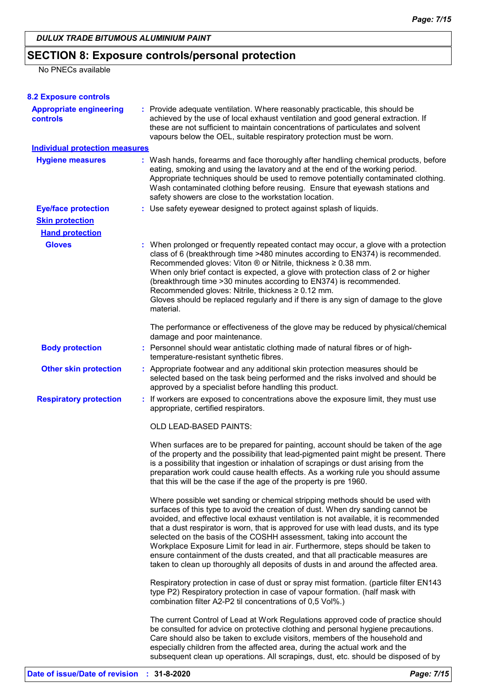# **SECTION 8: Exposure controls/personal protection**

### No PNECs available

| <b>8.2 Exposure controls</b>               |                                                                                                                                                                                                                                                                                                                                                                                                                                                                                                                                                                                                                                                                                         |
|--------------------------------------------|-----------------------------------------------------------------------------------------------------------------------------------------------------------------------------------------------------------------------------------------------------------------------------------------------------------------------------------------------------------------------------------------------------------------------------------------------------------------------------------------------------------------------------------------------------------------------------------------------------------------------------------------------------------------------------------------|
| <b>Appropriate engineering</b><br>controls | : Provide adequate ventilation. Where reasonably practicable, this should be<br>achieved by the use of local exhaust ventilation and good general extraction. If<br>these are not sufficient to maintain concentrations of particulates and solvent<br>vapours below the OEL, suitable respiratory protection must be worn.                                                                                                                                                                                                                                                                                                                                                             |
| <b>Individual protection measures</b>      |                                                                                                                                                                                                                                                                                                                                                                                                                                                                                                                                                                                                                                                                                         |
| <b>Hygiene measures</b>                    | : Wash hands, forearms and face thoroughly after handling chemical products, before<br>eating, smoking and using the lavatory and at the end of the working period.<br>Appropriate techniques should be used to remove potentially contaminated clothing.<br>Wash contaminated clothing before reusing. Ensure that eyewash stations and<br>safety showers are close to the workstation location.                                                                                                                                                                                                                                                                                       |
| <b>Eye/face protection</b>                 | : Use safety eyewear designed to protect against splash of liquids.                                                                                                                                                                                                                                                                                                                                                                                                                                                                                                                                                                                                                     |
| <b>Skin protection</b>                     |                                                                                                                                                                                                                                                                                                                                                                                                                                                                                                                                                                                                                                                                                         |
| <b>Hand protection</b>                     |                                                                                                                                                                                                                                                                                                                                                                                                                                                                                                                                                                                                                                                                                         |
| <b>Gloves</b>                              | : When prolonged or frequently repeated contact may occur, a glove with a protection<br>class of 6 (breakthrough time >480 minutes according to EN374) is recommended.<br>Recommended gloves: Viton ® or Nitrile, thickness ≥ 0.38 mm.<br>When only brief contact is expected, a glove with protection class of 2 or higher<br>(breakthrough time > 30 minutes according to EN374) is recommended.<br>Recommended gloves: Nitrile, thickness ≥ 0.12 mm.<br>Gloves should be replaced regularly and if there is any sign of damage to the glove<br>material.                                                                                                                             |
|                                            | The performance or effectiveness of the glove may be reduced by physical/chemical<br>damage and poor maintenance.                                                                                                                                                                                                                                                                                                                                                                                                                                                                                                                                                                       |
| <b>Body protection</b>                     | : Personnel should wear antistatic clothing made of natural fibres or of high-<br>temperature-resistant synthetic fibres.                                                                                                                                                                                                                                                                                                                                                                                                                                                                                                                                                               |
| <b>Other skin protection</b>               | : Appropriate footwear and any additional skin protection measures should be<br>selected based on the task being performed and the risks involved and should be<br>approved by a specialist before handling this product.                                                                                                                                                                                                                                                                                                                                                                                                                                                               |
| <b>Respiratory protection</b>              | : If workers are exposed to concentrations above the exposure limit, they must use<br>appropriate, certified respirators.                                                                                                                                                                                                                                                                                                                                                                                                                                                                                                                                                               |
|                                            | OLD LEAD-BASED PAINTS:                                                                                                                                                                                                                                                                                                                                                                                                                                                                                                                                                                                                                                                                  |
|                                            | When surfaces are to be prepared for painting, account should be taken of the age<br>of the property and the possibility that lead-pigmented paint might be present. There<br>is a possibility that ingestion or inhalation of scrapings or dust arising from the<br>preparation work could cause health effects. As a working rule you should assume<br>that this will be the case if the age of the property is pre 1960.                                                                                                                                                                                                                                                             |
|                                            | Where possible wet sanding or chemical stripping methods should be used with<br>surfaces of this type to avoid the creation of dust. When dry sanding cannot be<br>avoided, and effective local exhaust ventilation is not available, it is recommended<br>that a dust respirator is worn, that is approved for use with lead dusts, and its type<br>selected on the basis of the COSHH assessment, taking into account the<br>Workplace Exposure Limit for lead in air. Furthermore, steps should be taken to<br>ensure containment of the dusts created, and that all practicable measures are<br>taken to clean up thoroughly all deposits of dusts in and around the affected area. |
|                                            | Respiratory protection in case of dust or spray mist formation. (particle filter EN143<br>type P2) Respiratory protection in case of vapour formation. (half mask with<br>combination filter A2-P2 til concentrations of 0,5 Vol%.)                                                                                                                                                                                                                                                                                                                                                                                                                                                     |
|                                            | The current Control of Lead at Work Regulations approved code of practice should<br>be consulted for advice on protective clothing and personal hygiene precautions.<br>Care should also be taken to exclude visitors, members of the household and<br>especially children from the affected area, during the actual work and the<br>subsequent clean up operations. All scrapings, dust, etc. should be disposed of by                                                                                                                                                                                                                                                                 |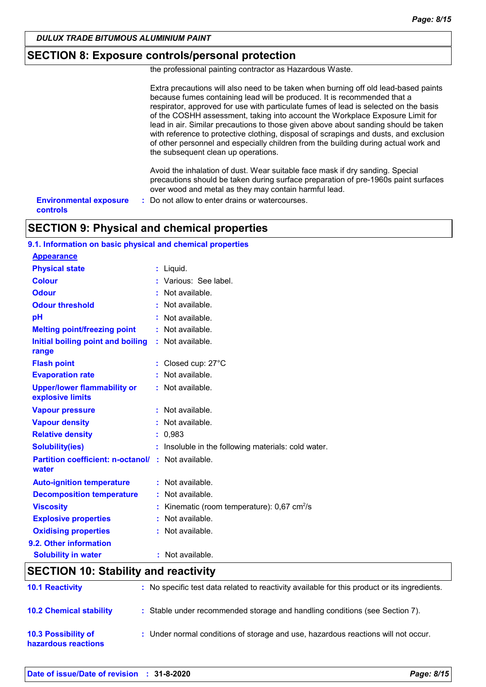### **SECTION 8: Exposure controls/personal protection**

the professional painting contractor as Hazardous Waste.

|                                                  | Extra precautions will also need to be taken when burning off old lead-based paints<br>because fumes containing lead will be produced. It is recommended that a<br>respirator, approved for use with particulate fumes of lead is selected on the basis<br>of the COSHH assessment, taking into account the Workplace Exposure Limit for<br>lead in air. Similar precautions to those given above about sanding should be taken<br>with reference to protective clothing, disposal of scrapings and dusts, and exclusion<br>of other personnel and especially children from the building during actual work and<br>the subsequent clean up operations. |
|--------------------------------------------------|--------------------------------------------------------------------------------------------------------------------------------------------------------------------------------------------------------------------------------------------------------------------------------------------------------------------------------------------------------------------------------------------------------------------------------------------------------------------------------------------------------------------------------------------------------------------------------------------------------------------------------------------------------|
|                                                  | Avoid the inhalation of dust. Wear suitable face mask if dry sanding. Special<br>precautions should be taken during surface preparation of pre-1960s paint surfaces<br>over wood and metal as they may contain harmful lead.                                                                                                                                                                                                                                                                                                                                                                                                                           |
| <b>Environmental exposure</b><br><b>controls</b> | : Do not allow to enter drains or watercourses.                                                                                                                                                                                                                                                                                                                                                                                                                                                                                                                                                                                                        |

# **SECTION 9: Physical and chemical properties**

| 9.1. Information on basic physical and chemical properties         |                                                       |
|--------------------------------------------------------------------|-------------------------------------------------------|
| <b>Appearance</b>                                                  |                                                       |
| <b>Physical state</b>                                              | $:$ Liquid.                                           |
| <b>Colour</b>                                                      | : Various: See label.                                 |
| <b>Odour</b>                                                       | Not available.                                        |
| <b>Odour threshold</b>                                             | Not available.                                        |
| pH                                                                 | Not available.                                        |
| <b>Melting point/freezing point</b>                                | : Not available.                                      |
| Initial boiling point and boiling<br>range                         | : Not available.                                      |
| <b>Flash point</b>                                                 | : Closed cup: 27°C                                    |
| <b>Evaporation rate</b>                                            | : Not available.                                      |
| <b>Upper/lower flammability or</b><br>explosive limits             | : Not available.                                      |
| <b>Vapour pressure</b>                                             | : Not available.                                      |
| <b>Vapour density</b>                                              | : Not available.                                      |
| <b>Relative density</b>                                            | : 0,983                                               |
| <b>Solubility(ies)</b>                                             | : Insoluble in the following materials: cold water.   |
| <b>Partition coefficient: n-octanol/ : Not available.</b><br>water |                                                       |
| <b>Auto-ignition temperature</b>                                   | : Not available.                                      |
| <b>Decomposition temperature</b>                                   | : Not available.                                      |
| <b>Viscosity</b>                                                   | Kinematic (room temperature): 0,67 cm <sup>2</sup> /s |
| <b>Explosive properties</b>                                        | : Not available.                                      |
| <b>Oxidising properties</b>                                        | : Not available.                                      |
| 9.2. Other information                                             |                                                       |
| <b>Solubility in water</b>                                         | : Not available.                                      |
| SECTION 10: Stability and reactivity                               |                                                       |

### **SECTION 10: Stability and reactivity**

| <b>10.1 Reactivity</b>                            | : No specific test data related to reactivity available for this product or its ingredients. |
|---------------------------------------------------|----------------------------------------------------------------------------------------------|
| <b>10.2 Chemical stability</b>                    | : Stable under recommended storage and handling conditions (see Section 7).                  |
| <b>10.3 Possibility of</b><br>hazardous reactions | : Under normal conditions of storage and use, hazardous reactions will not occur.            |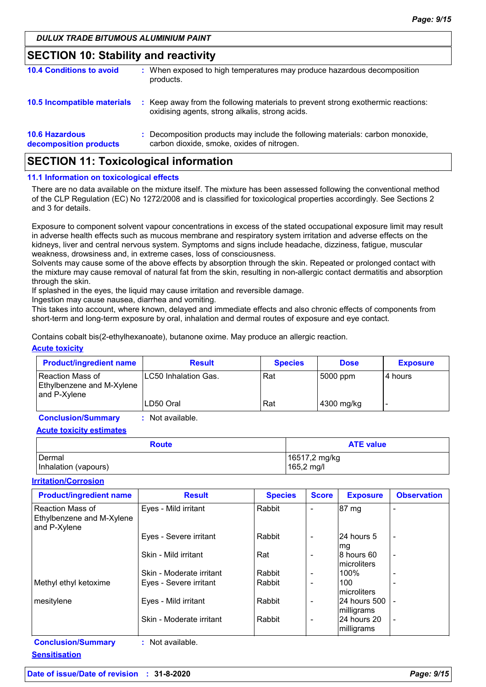### **SECTION 10: Stability and reactivity**

| <b>10.4 Conditions to avoid</b>                 | : When exposed to high temperatures may produce hazardous decomposition<br>products.                                                |
|-------------------------------------------------|-------------------------------------------------------------------------------------------------------------------------------------|
| 10.5 Incompatible materials                     | : Keep away from the following materials to prevent strong exothermic reactions:<br>oxidising agents, strong alkalis, strong acids. |
| <b>10.6 Hazardous</b><br>decomposition products | : Decomposition products may include the following materials: carbon monoxide,<br>carbon dioxide, smoke, oxides of nitrogen.        |

### **SECTION 11: Toxicological information**

#### **11.1 Information on toxicological effects**

There are no data available on the mixture itself. The mixture has been assessed following the conventional method of the CLP Regulation (EC) No 1272/2008 and is classified for toxicological properties accordingly. See Sections 2 and 3 for details.

Exposure to component solvent vapour concentrations in excess of the stated occupational exposure limit may result in adverse health effects such as mucous membrane and respiratory system irritation and adverse effects on the kidneys, liver and central nervous system. Symptoms and signs include headache, dizziness, fatigue, muscular weakness, drowsiness and, in extreme cases, loss of consciousness.

Solvents may cause some of the above effects by absorption through the skin. Repeated or prolonged contact with the mixture may cause removal of natural fat from the skin, resulting in non-allergic contact dermatitis and absorption through the skin.

If splashed in the eyes, the liquid may cause irritation and reversible damage.

Ingestion may cause nausea, diarrhea and vomiting.

This takes into account, where known, delayed and immediate effects and also chronic effects of components from short-term and long-term exposure by oral, inhalation and dermal routes of exposure and eye contact.

Contains cobalt bis(2-ethylhexanoate), butanone oxime. May produce an allergic reaction.

#### **Acute toxicity**

| <b>Product/ingredient name</b>                                  | <b>Result</b>         | <b>Species</b> | <b>Dose</b> | <b>Exposure</b> |
|-----------------------------------------------------------------|-----------------------|----------------|-------------|-----------------|
| l Reaction Mass of<br>Ethylbenzene and M-Xylene<br>and P-Xylene | ILC50 Inhalation Gas. | Rat            | 5000 ppm    | l 4 hours       |
|                                                                 | ILD50 Oral            | Rat            | 4300 mg/kg  |                 |

**Conclusion/Summary :** Not available.

**Acute toxicity estimates**

| <b>Route</b>         | <b>ATE value</b> |  |  |
|----------------------|------------------|--|--|
| Dermal               | 16517,2 mg/kg    |  |  |
| Inhalation (vapours) | 165,2 mg/l       |  |  |

#### **Irritation/Corrosion**

**Sensitisation**

| <b>Product/ingredient name</b>                                | <b>Result</b>            | <b>Species</b> | <b>Score</b>             | <b>Exposure</b>             | <b>Observation</b>       |
|---------------------------------------------------------------|--------------------------|----------------|--------------------------|-----------------------------|--------------------------|
| Reaction Mass of<br>Ethylbenzene and M-Xylene<br>and P-Xylene | Eyes - Mild irritant     | Rabbit         |                          | 87 mg                       |                          |
|                                                               | Eyes - Severe irritant   | Rabbit         |                          | l24 hours 5<br>mg           |                          |
|                                                               | Skin - Mild irritant     | Rat            |                          | 8 hours 60<br>Imicroliters  | $\overline{\phantom{a}}$ |
|                                                               | Skin - Moderate irritant | Rabbit         |                          | 100%                        |                          |
| Methyl ethyl ketoxime                                         | Eyes - Severe irritant   | Rabbit         |                          | 100<br>Imicroliters         |                          |
| mesitylene                                                    | Eyes - Mild irritant     | Rabbit         |                          | l24 hours 500<br>milligrams |                          |
|                                                               | Skin - Moderate irritant | Rabbit         | $\overline{\phantom{0}}$ | 24 hours 20<br>milligrams   |                          |
| <b>Conclusion/Summary</b>                                     | : Not available.         |                |                          |                             |                          |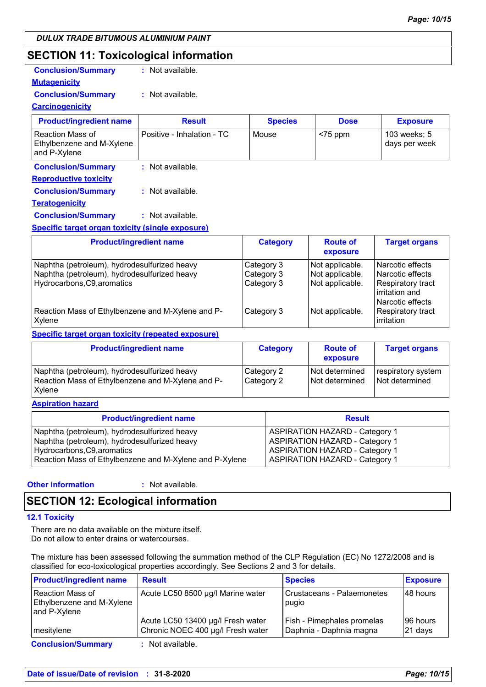### **SECTION 11: Toxicological information**

| <b>Conclusion/Summary</b> | : Not available. |
|---------------------------|------------------|
|---------------------------|------------------|

#### **Mutagenicity Conclusion/Summary :** Not available.

#### **Carcinogenicity**

| <b>Product/ingredient name</b>                                | <b>Result</b>              | <b>Species</b>  | <b>Dose</b>                 | <b>Exposure</b>               |
|---------------------------------------------------------------|----------------------------|-----------------|-----------------------------|-------------------------------|
| Reaction Mass of<br>Ethylbenzene and M-Xylene<br>and P-Xylene | Positive - Inhalation - TC | Mouse           | $<$ 75 ppm                  | 103 weeks; 5<br>days per week |
| <b>Conclusion/Summary</b>                                     | $:$ Not available.         |                 |                             |                               |
| <b>Reproductive toxicity</b>                                  |                            |                 |                             |                               |
| <b>Conclusion/Summary</b>                                     | : Not available.           |                 |                             |                               |
| <b>Teratogenicity</b>                                         |                            |                 |                             |                               |
| <b>Conclusion/Summary</b>                                     | : Not available.           |                 |                             |                               |
| <b>Specific target organ toxicity (single exposure)</b>       |                            |                 |                             |                               |
| <b>Product/ingredient name</b>                                |                            | <b>Category</b> | <b>Route of</b><br>exposure | <b>Target organs</b>          |
|                                                               |                            |                 |                             |                               |

|                                                             |            | exposure        |                                                           |
|-------------------------------------------------------------|------------|-----------------|-----------------------------------------------------------|
| Naphtha (petroleum), hydrodesulfurized heavy                | Category 3 | Not applicable. | Narcotic effects                                          |
| Naphtha (petroleum), hydrodesulfurized heavy                | Category 3 | Not applicable. | Narcotic effects                                          |
| Hydrocarbons, C9, aromatics                                 | Category 3 | Not applicable. | Respiratory tract<br>l irritation and<br>Narcotic effects |
| Reaction Mass of Ethylbenzene and M-Xylene and P-<br>Xylene | Category 3 | Not applicable. | Respiratory tract<br>irritation                           |

#### **Specific target organ toxicity (repeated exposure)**

| <b>Product/ingredient name</b>                                                                              | <b>Category</b>          | <b>Route of</b><br>exposure      | <b>Target organs</b>                 |
|-------------------------------------------------------------------------------------------------------------|--------------------------|----------------------------------|--------------------------------------|
| Naphtha (petroleum), hydrodesulfurized heavy<br>Reaction Mass of Ethylbenzene and M-Xylene and P-<br>Xylene | Category 2<br>Category 2 | Not determined<br>Not determined | respiratory system<br>Not determined |

#### **Aspiration hazard**

| <b>Product/ingredient name</b>                          | <b>Result</b>                         |
|---------------------------------------------------------|---------------------------------------|
| Naphtha (petroleum), hydrodesulfurized heavy            | <b>ASPIRATION HAZARD - Category 1</b> |
| Naphtha (petroleum), hydrodesulfurized heavy            | <b>ASPIRATION HAZARD - Category 1</b> |
| Hydrocarbons, C9, aromatics                             | <b>ASPIRATION HAZARD - Category 1</b> |
| Reaction Mass of Ethylbenzene and M-Xylene and P-Xylene | <b>ASPIRATION HAZARD - Category 1</b> |

#### **Other information :**

: Not available.

### **SECTION 12: Ecological information**

#### **12.1 Toxicity**

There are no data available on the mixture itself. Do not allow to enter drains or watercourses.

The mixture has been assessed following the summation method of the CLP Regulation (EC) No 1272/2008 and is classified for eco-toxicological properties accordingly. See Sections 2 and 3 for details.

| <b>Product/ingredient name</b>                                | <b>Result</b>                                                          | <b>Species</b>                                        | <b>Exposure</b>     |
|---------------------------------------------------------------|------------------------------------------------------------------------|-------------------------------------------------------|---------------------|
| Reaction Mass of<br>Ethylbenzene and M-Xylene<br>and P-Xylene | Acute LC50 8500 µg/l Marine water                                      | Crustaceans - Palaemonetes<br>pugio                   | 48 hours            |
| mesitylene                                                    | Acute LC50 13400 µg/l Fresh water<br>Chronic NOEC 400 µg/l Fresh water | Fish - Pimephales promelas<br>Daphnia - Daphnia magna | 96 hours<br>21 days |
| <b>Conclusion/Summary</b>                                     | : Not available.                                                       |                                                       |                     |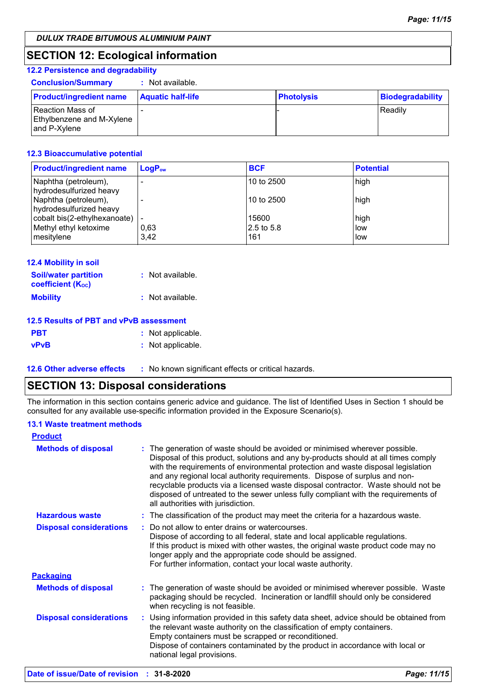### **SECTION 12: Ecological information**

| <b>12.2 Persistence and degradability</b>                                   |                          |                   |                         |
|-----------------------------------------------------------------------------|--------------------------|-------------------|-------------------------|
| <b>Conclusion/Summary</b>                                                   | Not available.           |                   |                         |
| <b>Product/ingredient name</b>                                              | <b>Aquatic half-life</b> | <b>Photolysis</b> | <b>Biodegradability</b> |
| <b>Reaction Mass of</b><br><b>Ethylbenzene and M-Xylene</b><br>and P-Xylene |                          |                   | Readily                 |

#### **12.3 Bioaccumulative potential**

| <b>Product/ingredient name</b>                  | $\mathsf{LogP}_\mathsf{ow}$ | <b>BCF</b>   | <b>Potential</b> |
|-------------------------------------------------|-----------------------------|--------------|------------------|
| Naphtha (petroleum),<br>hydrodesulfurized heavy |                             | l 10 to 2500 | high             |
| Naphtha (petroleum),<br>hydrodesulfurized heavy |                             | l 10 to 2500 | high             |
| cobalt bis(2-ethylhexanoate)                    |                             | 15600        | high             |
| Methyl ethyl ketoxime                           | 0.63                        | 2.5 to 5.8   | low              |
| mesitylene                                      | 3.42                        | 161          | low              |

| <b>12.4 Mobility in soil</b><br><b>Soil/water partition</b><br><b>coefficient (Koc)</b> | : Not available. |
|-----------------------------------------------------------------------------------------|------------------|
| <b>Mobility</b>                                                                         | : Not available. |
| 12.5 Results of PBT and vPvB assessment                                                 |                  |

| 12.5 Results of PBT and VPVB assessment |  |  |  |  |
|-----------------------------------------|--|--|--|--|
|                                         |  |  |  |  |

| <b>PBT</b>  | : Not applicable. |
|-------------|-------------------|
| <b>vPvB</b> | : Not applicable. |
|             |                   |

**12.6 Other adverse effects** : No known significant effects or critical hazards.

### **SECTION 13: Disposal considerations**

The information in this section contains generic advice and guidance. The list of Identified Uses in Section 1 should be consulted for any available use-specific information provided in the Exposure Scenario(s).

#### **13.1 Waste treatment methods**

| <b>Product</b>                 |                                                                                                                                                                                                                                                                                                                                                                                                                                                                                                                                                      |  |
|--------------------------------|------------------------------------------------------------------------------------------------------------------------------------------------------------------------------------------------------------------------------------------------------------------------------------------------------------------------------------------------------------------------------------------------------------------------------------------------------------------------------------------------------------------------------------------------------|--|
| <b>Methods of disposal</b>     | : The generation of waste should be avoided or minimised wherever possible.<br>Disposal of this product, solutions and any by-products should at all times comply<br>with the requirements of environmental protection and waste disposal legislation<br>and any regional local authority requirements. Dispose of surplus and non-<br>recyclable products via a licensed waste disposal contractor. Waste should not be<br>disposed of untreated to the sewer unless fully compliant with the requirements of<br>all authorities with jurisdiction. |  |
| <b>Hazardous waste</b>         | : The classification of the product may meet the criteria for a hazardous waste.                                                                                                                                                                                                                                                                                                                                                                                                                                                                     |  |
| <b>Disposal considerations</b> | Do not allow to enter drains or watercourses.<br>Dispose of according to all federal, state and local applicable regulations.<br>If this product is mixed with other wastes, the original waste product code may no<br>longer apply and the appropriate code should be assigned.<br>For further information, contact your local waste authority.                                                                                                                                                                                                     |  |
| <b>Packaging</b>               |                                                                                                                                                                                                                                                                                                                                                                                                                                                                                                                                                      |  |
| <b>Methods of disposal</b>     | : The generation of waste should be avoided or minimised wherever possible. Waste<br>packaging should be recycled. Incineration or landfill should only be considered<br>when recycling is not feasible.                                                                                                                                                                                                                                                                                                                                             |  |
| <b>Disposal considerations</b> | : Using information provided in this safety data sheet, advice should be obtained from<br>the relevant waste authority on the classification of empty containers.<br>Empty containers must be scrapped or reconditioned.<br>Dispose of containers contaminated by the product in accordance with local or<br>national legal provisions.                                                                                                                                                                                                              |  |
|                                |                                                                                                                                                                                                                                                                                                                                                                                                                                                                                                                                                      |  |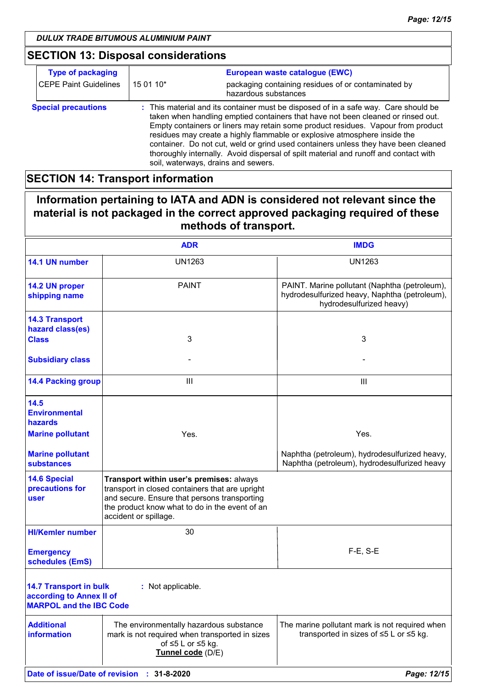# **SECTION 13: Disposal considerations**

| <b>Type of packaging</b>     |           | European waste catalogue (EWC)                                                                                                                                                                                                                                                                                                                                                                                                                                                                                                                                |
|------------------------------|-----------|---------------------------------------------------------------------------------------------------------------------------------------------------------------------------------------------------------------------------------------------------------------------------------------------------------------------------------------------------------------------------------------------------------------------------------------------------------------------------------------------------------------------------------------------------------------|
| <b>CEPE Paint Guidelines</b> | 15 01 10* | packaging containing residues of or contaminated by<br>hazardous substances                                                                                                                                                                                                                                                                                                                                                                                                                                                                                   |
| <b>Special precautions</b>   |           | : This material and its container must be disposed of in a safe way. Care should be<br>taken when handling emptied containers that have not been cleaned or rinsed out.<br>Empty containers or liners may retain some product residues. Vapour from product<br>residues may create a highly flammable or explosive atmosphere inside the<br>container. Do not cut, weld or grind used containers unless they have been cleaned<br>thoroughly internally. Avoid dispersal of spilt material and runoff and contact with<br>soil, waterways, drains and sewers. |

### **SECTION 14: Transport information**

### **Information pertaining to IATA and ADN is considered not relevant since the material is not packaged in the correct approved packaging required of these methods of transport.**

|                                                                                             | <b>ADR</b>                                                                                                                                                                                                             | <b>IMDG</b>                                                                                                                |
|---------------------------------------------------------------------------------------------|------------------------------------------------------------------------------------------------------------------------------------------------------------------------------------------------------------------------|----------------------------------------------------------------------------------------------------------------------------|
| 14.1 UN number                                                                              | <b>UN1263</b>                                                                                                                                                                                                          | <b>UN1263</b>                                                                                                              |
| 14.2 UN proper<br>shipping name                                                             | <b>PAINT</b>                                                                                                                                                                                                           | PAINT. Marine pollutant (Naphtha (petroleum),<br>hydrodesulfurized heavy, Naphtha (petroleum),<br>hydrodesulfurized heavy) |
| <b>14.3 Transport</b><br>hazard class(es)                                                   |                                                                                                                                                                                                                        |                                                                                                                            |
| <b>Class</b>                                                                                | 3                                                                                                                                                                                                                      | 3                                                                                                                          |
| <b>Subsidiary class</b>                                                                     |                                                                                                                                                                                                                        |                                                                                                                            |
| <b>14.4 Packing group</b>                                                                   | III                                                                                                                                                                                                                    | $\mathbf{III}$                                                                                                             |
| 14.5<br><b>Environmental</b><br>hazards                                                     |                                                                                                                                                                                                                        |                                                                                                                            |
| <b>Marine pollutant</b>                                                                     | Yes.                                                                                                                                                                                                                   | Yes.                                                                                                                       |
| <b>Marine pollutant</b><br><b>substances</b>                                                |                                                                                                                                                                                                                        | Naphtha (petroleum), hydrodesulfurized heavy,<br>Naphtha (petroleum), hydrodesulfurized heavy                              |
| <b>14.6 Special</b><br>precautions for<br>user                                              | Transport within user's premises: always<br>transport in closed containers that are upright<br>and secure. Ensure that persons transporting<br>the product know what to do in the event of an<br>accident or spillage. |                                                                                                                            |
| <b>HI/Kemler number</b>                                                                     | 30                                                                                                                                                                                                                     |                                                                                                                            |
| <b>Emergency</b><br>schedules (EmS)                                                         |                                                                                                                                                                                                                        | $F-E$ , S-E                                                                                                                |
| <b>14.7 Transport in bulk</b><br>according to Annex II of<br><b>MARPOL and the IBC Code</b> | : Not applicable.                                                                                                                                                                                                      |                                                                                                                            |
| <b>Additional</b><br><b>information</b>                                                     | The environmentally hazardous substance<br>mark is not required when transported in sizes<br>of $\leq 5$ L or $\leq 5$ kg.<br>Tunnel code (D/E)                                                                        | The marine pollutant mark is not required when<br>transported in sizes of $\leq$ 5 L or $\leq$ 5 kg.                       |
|                                                                                             | Date of issue/Date of revision : 31-8-2020                                                                                                                                                                             | Page: 12/15                                                                                                                |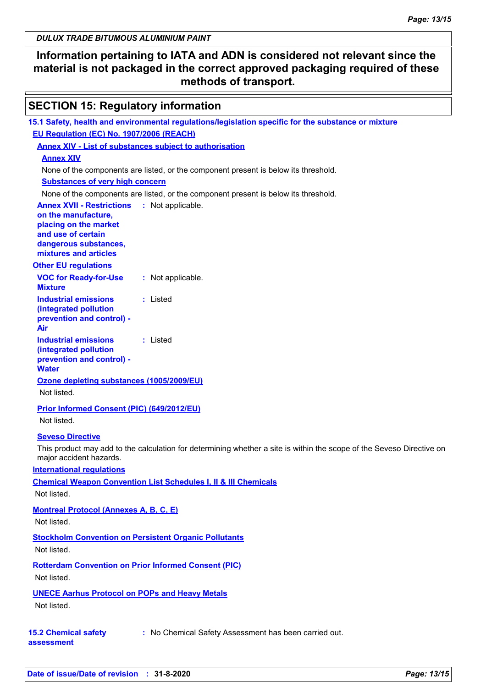### **Information pertaining to IATA and ADN is considered not relevant since the material is not packaged in the correct approved packaging required of these methods of transport.**

### **SECTION 15: Regulatory information**

| 15.1 Safety, health and environmental regulations/legislation specific for the substance or mixture                   |
|-----------------------------------------------------------------------------------------------------------------------|
| EU Regulation (EC) No. 1907/2006 (REACH)                                                                              |
| <b>Annex XIV - List of substances subject to authorisation</b>                                                        |
| <b>Annex XIV</b>                                                                                                      |
| None of the components are listed, or the component present is below its threshold.                                   |
| <b>Substances of very high concern</b>                                                                                |
| None of the components are listed, or the component present is below its threshold.                                   |
| <b>Annex XVII - Restrictions</b><br>: Not applicable.                                                                 |
| on the manufacture,                                                                                                   |
| placing on the market                                                                                                 |
| and use of certain<br>dangerous substances,                                                                           |
| mixtures and articles                                                                                                 |
| <b>Other EU regulations</b>                                                                                           |
| <b>VOC for Ready-for-Use</b><br>: Not applicable.                                                                     |
| <b>Mixture</b>                                                                                                        |
| <b>Industrial emissions</b><br>: Listed                                                                               |
| (integrated pollution                                                                                                 |
| prevention and control) -                                                                                             |
| Air                                                                                                                   |
| <b>Industrial emissions</b><br>: Listed                                                                               |
| (integrated pollution                                                                                                 |
| prevention and control) -<br><b>Water</b>                                                                             |
| Ozone depleting substances (1005/2009/EU)                                                                             |
| Not listed.                                                                                                           |
|                                                                                                                       |
| Prior Informed Consent (PIC) (649/2012/EU)                                                                            |
| Not listed.                                                                                                           |
| <b>Seveso Directive</b>                                                                                               |
| This product may add to the calculation for determining whether a site is within the scope of the Seveso Directive on |
| major accident hazards.                                                                                               |
| <b>International regulations</b>                                                                                      |
| <b>Chemical Weapon Convention List Schedules I, II &amp; III Chemicals</b>                                            |
| Not listed.                                                                                                           |
| <b>Montreal Protocol (Annexes A, B, C, E)</b>                                                                         |
| Not listed.                                                                                                           |
| <b>Stockholm Convention on Persistent Organic Pollutants</b>                                                          |
| Not listed.                                                                                                           |
|                                                                                                                       |
| <b>Rotterdam Convention on Prior Informed Consent (PIC)</b>                                                           |
| Not listed.                                                                                                           |
| <b>UNECE Aarhus Protocol on POPs and Heavy Metals</b>                                                                 |
| Not listed.                                                                                                           |
|                                                                                                                       |
| : No Chemical Safety Assessment has been carried out.<br><b>15.2 Chemical safety</b>                                  |
| assessment                                                                                                            |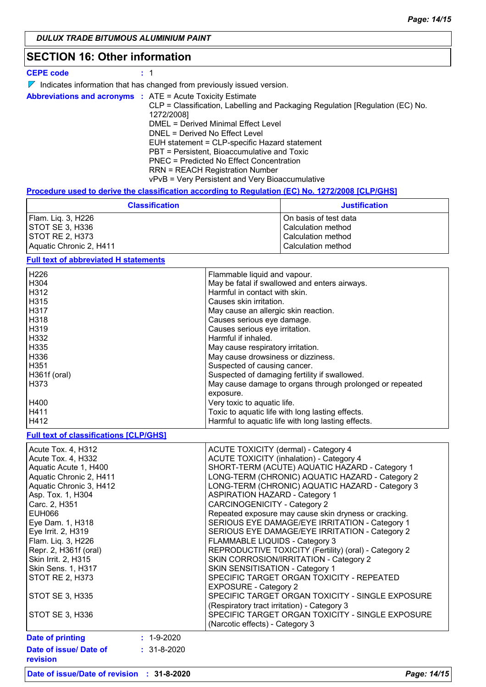### **SECTION 16: Other information**

#### **CEPE code :** 1

|  | $\nabla$ Indicates information that has changed from previously issued version. |  |  |  |
|--|---------------------------------------------------------------------------------|--|--|--|
|--|---------------------------------------------------------------------------------|--|--|--|

|  | <b>Abbreviations and acronyms : ATE = Acute Toxicity Estimate</b>             |
|--|-------------------------------------------------------------------------------|
|  | CLP = Classification, Labelling and Packaging Regulation [Regulation (EC) No. |
|  | 1272/2008]                                                                    |
|  | DMEL = Derived Minimal Effect Level                                           |
|  | DNEL = Derived No Effect Level                                                |
|  | EUH statement = CLP-specific Hazard statement                                 |
|  | PBT = Persistent, Bioaccumulative and Toxic                                   |
|  | PNEC = Predicted No Effect Concentration                                      |
|  | <b>RRN = REACH Registration Number</b>                                        |
|  | vPvB = Very Persistent and Very Bioaccumulative                               |

#### **Procedure used to derive the classification according to Regulation (EC) No. 1272/2008 [CLP/GHS]**

| <b>Classification</b>   | <b>Justification</b>  |
|-------------------------|-----------------------|
| Flam. Liq. 3, H226      | On basis of test data |
| <b>ISTOT SE 3. H336</b> | Calculation method    |
| <b>ISTOT RE 2. H373</b> | Calculation method    |
| Aquatic Chronic 2, H411 | Calculation method    |

#### **Full text of abbreviated H statements**

| H226         | Flammable liquid and vapour.                             |
|--------------|----------------------------------------------------------|
| H304         | May be fatal if swallowed and enters airways.            |
| H312         | Harmful in contact with skin.                            |
| H315         | Causes skin irritation.                                  |
| H317         | May cause an allergic skin reaction.                     |
| H318         | Causes serious eye damage.                               |
| H319         | Causes serious eye irritation.                           |
| H332         | Harmful if inhaled.                                      |
| H335         | May cause respiratory irritation.                        |
| H336         | May cause drowsiness or dizziness.                       |
| H351         | Suspected of causing cancer.                             |
| H361f (oral) | Suspected of damaging fertility if swallowed.            |
| H373         | May cause damage to organs through prolonged or repeated |
|              | exposure.                                                |
| H400         | Very toxic to aquatic life.                              |
| H411         | Toxic to aquatic life with long lasting effects.         |
| H412         | Harmful to aquatic life with long lasting effects.       |
|              |                                                          |

# **Full text of classifications [CLP/GHS]**

| Acute Tox. 4, H312<br>Acute Tox. 4, H332<br>Aquatic Acute 1, H400<br>Aquatic Chronic 2, H411<br>Aquatic Chronic 3, H412<br>Asp. Tox. 1, H304<br>Carc. 2, H351 |                   | ACUTE TOXICITY (dermal) - Category 4<br><b>ACUTE TOXICITY (inhalation) - Category 4</b><br>SHORT-TERM (ACUTE) AQUATIC HAZARD - Category 1<br>LONG-TERM (CHRONIC) AQUATIC HAZARD - Category 2<br>LONG-TERM (CHRONIC) AQUATIC HAZARD - Category 3<br><b>ASPIRATION HAZARD - Category 1</b><br><b>CARCINOGENICITY - Category 2</b> |
|---------------------------------------------------------------------------------------------------------------------------------------------------------------|-------------------|---------------------------------------------------------------------------------------------------------------------------------------------------------------------------------------------------------------------------------------------------------------------------------------------------------------------------------|
| EUH066                                                                                                                                                        |                   | Repeated exposure may cause skin dryness or cracking.                                                                                                                                                                                                                                                                           |
| Eye Dam. 1, H318<br>Eye Irrit. 2, H319                                                                                                                        |                   | SERIOUS EYE DAMAGE/EYE IRRITATION - Category 1<br>SERIOUS EYE DAMAGE/EYE IRRITATION - Category 2                                                                                                                                                                                                                                |
| Flam. Liq. 3, H226                                                                                                                                            |                   | FLAMMABLE LIQUIDS - Category 3                                                                                                                                                                                                                                                                                                  |
| Repr. 2, H361f (oral)<br>Skin Irrit. 2, H315                                                                                                                  |                   | REPRODUCTIVE TOXICITY (Fertility) (oral) - Category 2<br>SKIN CORROSION/IRRITATION - Category 2                                                                                                                                                                                                                                 |
| Skin Sens. 1, H317                                                                                                                                            |                   | SKIN SENSITISATION - Category 1                                                                                                                                                                                                                                                                                                 |
| <b>STOT RE 2, H373</b>                                                                                                                                        |                   | SPECIFIC TARGET ORGAN TOXICITY - REPEATED<br><b>EXPOSURE - Category 2</b>                                                                                                                                                                                                                                                       |
| STOT SE 3, H335                                                                                                                                               |                   | SPECIFIC TARGET ORGAN TOXICITY - SINGLE EXPOSURE<br>(Respiratory tract irritation) - Category 3                                                                                                                                                                                                                                 |
| STOT SE 3, H336                                                                                                                                               |                   | SPECIFIC TARGET ORGAN TOXICITY - SINGLE EXPOSURE<br>(Narcotic effects) - Category 3                                                                                                                                                                                                                                             |
| <b>Date of printing</b>                                                                                                                                       | $: 1 - 9 - 2020$  |                                                                                                                                                                                                                                                                                                                                 |
| Date of issue/ Date of<br>revision                                                                                                                            | $: 31 - 8 - 2020$ |                                                                                                                                                                                                                                                                                                                                 |

**Date of issue/Date of revision : 31-8-2020** *Page: 14/15*